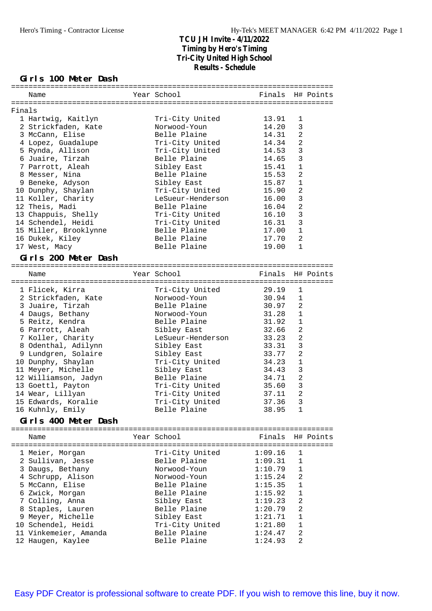**Girls 100 Meter Dash**

|        |                                        |                   | ======================== |                |           |
|--------|----------------------------------------|-------------------|--------------------------|----------------|-----------|
|        | Name                                   | Year School       | Finals H# Points         |                |           |
|        |                                        |                   |                          |                |           |
| Finals |                                        |                   |                          |                |           |
|        | 1 Hartwig, Kaitlyn                     | Tri-City United   | 13.91                    | 1              |           |
|        | 2 Strickfaden, Kate                    | Norwood-Youn      | 14.20                    | 3              |           |
|        | 3 McCann, Elise                        | Belle Plaine      | 14.31                    | $\overline{2}$ |           |
|        | 4 Lopez, Guadalupe                     | Tri-City United   | 14.34                    | $\overline{a}$ |           |
|        | 5 Rynda, Allison                       | Tri-City United   | 14.53                    | 3              |           |
|        | 6 Juaire, Tirzah                       | Belle Plaine      | 14.65                    | 3              |           |
|        | 7 Parrott, Aleah                       | Sibley East       | 15.41                    | $\mathbf 1$    |           |
|        | 8 Messer, Nina                         | Belle Plaine      | 15.53                    | 2              |           |
|        | 9 Beneke, Adyson                       | Sibley East       | 15.87                    | $\mathbf 1$    |           |
|        | 10 Dunphy, Shaylan                     | Tri-City United   | 15.90                    | 2              |           |
|        | 11 Koller, Charity                     | LeSueur-Henderson | 16.00                    | $\overline{3}$ |           |
|        | 12 Theis, Madi                         | Belle Plaine      | 16.04                    | $\overline{c}$ |           |
|        | 13 Chappuis, Shelly                    | Tri-City United   | 16.10                    | $\mathbf{3}$   |           |
|        | 14 Schendel, Heidi                     | Tri-City United   | 16.31                    | 3              |           |
|        | 15 Miller, Brooklynne                  | Belle Plaine      | 17.00                    | $1\,$          |           |
|        | 16 Dukek, Kiley                        | Belle Plaine      | 17.70                    | 2              |           |
|        | 17 West, Macy                          | Belle Plaine      | 19.00                    | $1\,$          |           |
|        | Girls 200 Meter Dash                   |                   |                          |                |           |
|        |                                        |                   |                          |                |           |
|        | Name                                   | Year School       | Finals                   |                | H# Points |
|        |                                        |                   |                          |                |           |
|        | 1 Flicek, Kirra                        | Tri-City United   | 29.19                    | 1              |           |
|        | 2 Strickfaden, Kate                    | Norwood-Youn      | 30.94                    | $\mathbf 1$    |           |
|        | 3 Juaire, Tirzah                       | Belle Plaine      | 30.97                    | $\overline{2}$ |           |
|        | 4 Daugs, Bethany                       | Norwood-Youn      | 31.28                    | $1\,$          |           |
|        | 5 Reitz, Kendra                        | Belle Plaine      | 31.92                    | $\mathbf 1$    |           |
|        | 6 Parrott, Aleah                       | Sibley East       | 32.66                    | 2              |           |
|        | 7 Koller, Charity                      | LeSueur-Henderson | 33.23                    | $\overline{a}$ |           |
|        | 8 Odenthal, Adilynn                    | Sibley East       | 33.31                    | 3              |           |
|        | 9 Lundgren, Solaire                    | Sibley East       | 33.77                    | 2              |           |
|        | 10 Dunphy, Shaylan                     | Tri-City United   | 34.23                    | $1\,$          |           |
|        | 11 Meyer, Michelle                     | Sibley East       | 34.43                    | 3              |           |
|        | 12 Williamson, Jadyn                   | Belle Plaine      | 34.71                    | $\overline{a}$ |           |
|        | 13 Goettl, Payton                      | Tri-City United   | 35.60                    | $\overline{3}$ |           |
|        | 14 Wear, Lillyan                       | Tri-City United   | 37.11                    | $\overline{2}$ |           |
|        | 15 Edwards, Koralie                    | Tri-City United   | 37.36                    | 3              |           |
|        | 16 Kuhnly, Emily                       | Belle Plaine      | 38.95                    | 1              |           |
|        | Girls 400 Meter Dash                   |                   |                          |                |           |
|        |                                        |                   |                          |                |           |
|        | Name                                   | Year School       | Finals                   |                | H# Points |
|        | ====================================== |                   |                          |                |           |
|        | 1 Meier, Morgan                        | Tri-City United   | 1:09.16                  | 1              |           |
|        | 2 Sullivan, Jesse                      | Belle Plaine      | 1:09.31                  | 1              |           |
|        | 3 Daugs, Bethany                       | Norwood-Youn      | 1:10.79                  | $\mathbf{1}$   |           |
|        | 4 Schrupp, Alison                      | Norwood-Youn      | 1:15.24                  | 2              |           |
|        | 5 McCann, Elise                        | Belle Plaine      | 1:15.35                  | 1              |           |
|        | 6 Zwick, Morgan                        | Belle Plaine      | 1:15.92                  | 1              |           |
|        | 7 Colling, Anna                        | Sibley East       | 1:19.23                  | 2              |           |
|        | 8 Staples, Lauren                      | Belle Plaine      | 1:20.79                  | $\overline{a}$ |           |
|        | 9 Meyer, Michelle                      | Sibley East       | 1:21.71                  | $\mathbf 1$    |           |
|        | 10 Schendel, Heidi                     | Tri-City United   | 1:21.80                  | $\mathbf{1}$   |           |
|        | 11 Vinkemeier, Amanda                  | Belle Plaine      | 1:24.47                  | $\overline{c}$ |           |
|        | 12 Haugen, Kaylee                      | Belle Plaine      | 1:24.93                  | $\overline{2}$ |           |

[Easy PDF Creator is professional software to create PDF. If you wish to remove this line, buy it now.](http://www.pdfdesk.com)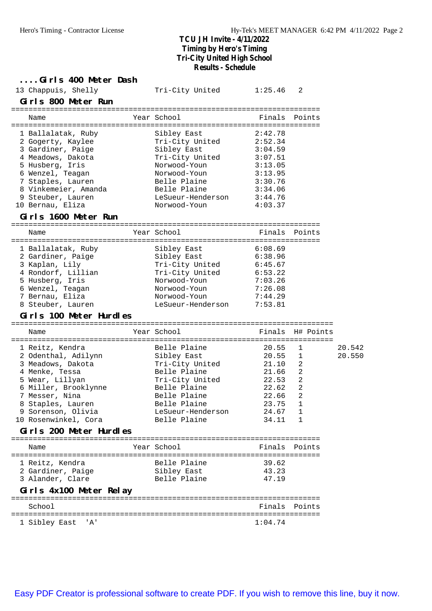**....Girls 400 Meter Dash** 13 Chappuis, Shelly Tri-City United 1:25.46 2 **Girls 800 Meter Run** ======================================================================= Name The Year School The Finals Points ======================================================================= 1 Ballalatak, Ruby Sibley East 2:42.78 2 Gogerty, Kaylee Tri-City United 2:52.34 3 Gardiner, Paige 3:04.59 4 Meadows, Dakota Tri-City United 3:07.51 5 Husberg, Iris Norwood-Youn 3:13.05 6 Wenzel, Teagan Norwood-Youn 3:13.95 7 Staples, Lauren Belle Plaine 3:30.76 8 Vinkemeier, Amanda Belle Plaine 3:34.06 9 Steuber, Lauren aussieren LeSueur-Henderson 3:44.76 10 Bernau, Eliza Norwood-Youn 4:03.37 **Girls 1600 Meter Run** ======================================================================= Name The Year School The Finals Points ======================================================================= 1 Ballalatak, Ruby Sibley East 6:08.69 2 Gardiner, Paige  $Sibley$  East  $6:38.96$ 3 Kaplan, Lily Tri-City United 6:45.67 4 Rondorf, Lillian Tri-City United 6:53.22 5 Husberg, Iris Norwood-Youn 7:03.26 6 Wenzel, Teagan Norwood-Youn 7:26.08 7 Bernau, Eliza Norwood-Youn 7:44.29 8 Steuber, Lauren and LeSueur-Henderson 7:53.81 **Girls 100 Meter Hurdles** ========================================================================== Name The Year School The Finals H# Points ========================================================================== 1 Reitz, Kendra Belle Plaine 20.55 1 20.542 2 Odenthal, Adilynn Sibley East 20.55 1 20.550 3 Meadows, Dakota Tri-City United 21.10 2 4 Menke, Tessa Belle Plaine 21.66 2 5 Wear, Lillyan Tri-City United 22.53 2 6 Miller, Brooklynne Belle Plaine 22.62 2 7 Messer, Nina Belle Plaine 22.66 2 8 Staples, Lauren Belle Plaine 23.75 1 9 Sorenson, Olivia LeSueur-Henderson 24.67 1 10 Rosenwinkel, Cora Belle Plaine 34.11 1 **Girls 200 Meter Hurdles** ======================================================================= Name The Year School The Finals Points ======================================================================= 1 Reitz, Kendra Belle Plaine 39.62 2 Gardiner, Paige Sibley East 43.23 3 Alander, Clare Belle Plaine 47.19 **Girls 4x100 Meter Relay** ======================================================================= School **Finals Points** ======================================================================= 1 Sibley East 'A' 1:04.74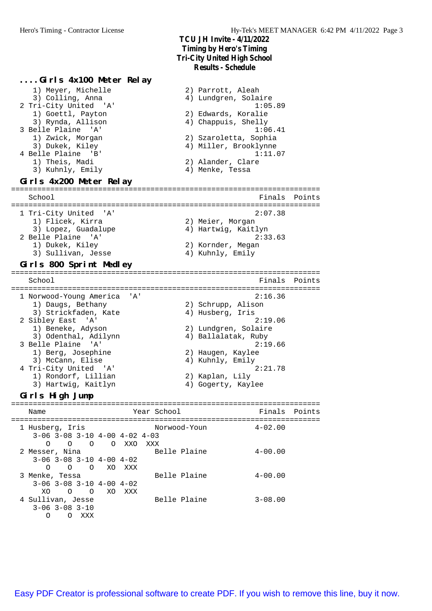#### **....Girls 4x100 Meter Relay** 1) Meyer, Michelle 2) Parrott, Aleah 3) Colling, Anna (4) Lundgren, Solaire 2 Tri-City United 'A' 1:05.89 1) Goettl, Payton 2) Edwards, Koralie 3) Rynda, Allison (4) Chappuis, Shelly 3 Belle Plaine 'A' 1:06.41 1) Zwick, Morgan 2) Szaroletta, Sophia 3) Dukek, Kiley (4) Miller, Brooklynne 4 Belle Plaine 'B' 1:11.07 1) Theis, Madi 2) Alander, Clare 3) Kuhnly, Emily 19 Menke, Tessa **Girls 4x200 Meter Relay** ======================================================================= School Finals Points ======================================================================= 1 Tri-City United 'A' 2:07.38 1) Flicek, Kirra 2) Meier, Morgan 3) Lopez, Guadalupe (4) Hartwig, Kaitlyn 2 Belle Plaine 'A' 2:33.63 1) Dukek, Kiley (2) Kornder, Megan 3) Sullivan, Jesse 4) Kuhnly, Emily **Girls 800 Sprint Medley** ======================================================================= School **Finals** Points ======================================================================= 1 Norwood-Young America 'A' 2:16.36 1) Daugs, Bethany 1 (2) Schrupp, Alison 3) Strickfaden, Kate (4) Husberg, Iris 2 Sibley East 'A' 2:19.06 1) Beneke, Adyson 2) Lundgren, Solaire 3) Odenthal, Adilynn (4) Ballalatak, Ruby 3 Belle Plaine 'A' 2:19.66 1) Berg, Josephine 2) Haugen, Kaylee 3) McCann, Elise 4) Kuhnly, Emily 4 Tri-City United 'A' 2:21.78 1) Rondorf, Lillian 2) Kaplan, Lily 3) Hartwig, Kaitlyn (4) Gogerty, Kaylee **Girls High Jump** ======================================================================= Name The Year School The Finals Points ======================================================================= 1 Husberg, Iris Norwood-Youn 4-02.00 3-06 3-08 3-10 4-00 4-02 4-03 O O O O XXO XXX 2 Messer, Nina and Belle Plaine 4-00.00 3-06 3-08 3-10 4-00 4-02 O O O XO XXX 3 Menke, Tessa and Belle Plaine 194-00.00 3-06 3-08 3-10 4-00 4-02

4 Sullivan, Jesse Belle Plaine 3-08.00 3-06 3-08 3-10 O O XXX

XO O O XO XXX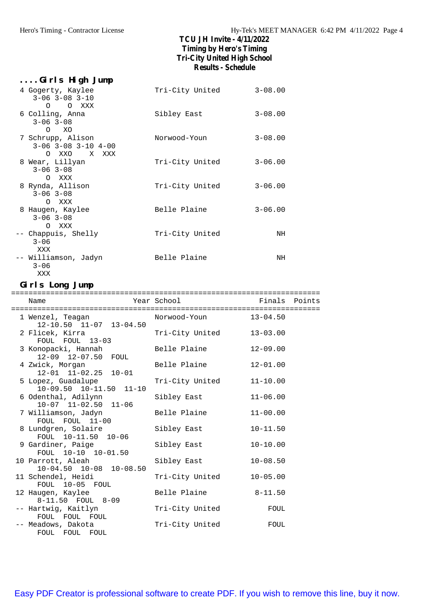| Girls High Jump                                                  |                 |             |
|------------------------------------------------------------------|-----------------|-------------|
| 4 Gogerty, Kaylee<br>$3 - 06$ $3 - 08$ $3 - 10$                  | Tri-City United | $3 - 08.00$ |
| O O XXX<br>6 Colling, Anna<br>$3 - 06$ $3 - 08$                  | Sibley East     | $3 - 08.00$ |
| O XO<br>7 Schrupp, Alison<br>$3 - 06$ $3 - 08$ $3 - 10$ $4 - 00$ | Norwood-Youn    | $3 - 08.00$ |
| OXXO XXXX<br>8 Wear, Lillyan<br>$3 - 06$ $3 - 08$                | Tri-City United | $3 - 06.00$ |
| O XXX<br>8 Rynda, Allison<br>$3 - 06$ $3 - 08$<br>O XXX          | Tri-City United | $3 - 06.00$ |
| 8 Haugen, Kaylee<br>$3 - 06$ $3 - 08$                            | Belle Plaine    | $3 - 06.00$ |
| O XXX<br>-- Chappuis, Shelly<br>$3 - 06$                         | Tri-City United | ΝH          |
| XXX<br>-- Williamson, Jadyn<br>$3 - 06$<br>XXX                   | Belle Plaine    | ΝH          |

#### **Girls Long Jump**

| Name                                                    | Year School           | Finals Points |  |
|---------------------------------------------------------|-----------------------|---------------|--|
| 1 Wenzel, Teagan<br>$12 - 10.50$ $11 - 07$ $13 - 04.50$ | Norwood-Youn 13-04.50 |               |  |
| 2 Flicek, Kirra<br>FOUL FOUL 13-03                      | Tri-City United       | $13 - 03.00$  |  |
| 3 Konopacki, Hannah<br>12-09 12-07.50 FOUL              | Belle Plaine          | $12 - 09.00$  |  |
| 4 Zwick, Morgan<br>12-01 11-02.25 10-01                 | Belle Plaine          | $12 - 01.00$  |  |
| 5 Lopez, Guadalupe<br>$10-09.50$ $10-11.50$ $11-10$     | Tri-City United       | $11 - 10.00$  |  |
| 6 Odenthal, Adilynn<br>$10-07$ $11-02.50$ $11-06$       | Sibley East           | $11 - 06.00$  |  |
| 7 Williamson, Jadyn<br>FOUL FOUL 11-00                  | Belle Plaine          | $11 - 00.00$  |  |
| 8 Lundgren, Solaire<br>FOUL 10-11.50 10-06              | Sibley East           | $10 - 11.50$  |  |
| 9 Gardiner, Paige<br>FOUL 10-10 10-01.50                | Sibley East           | $10 - 10.00$  |  |
| 10 Parrott, Aleah<br>$10-04.50$ $10-08$ $10-08.50$      | Sibley East           | $10 - 08.50$  |  |
| 11 Schendel, Heidi<br>FOUL 10-05 FOUL                   | Tri-City United       | $10 - 05.00$  |  |
| 12 Haugen, Kaylee<br>8-11.50 FOUL 8-09                  | Belle Plaine          | $8 - 11.50$   |  |
| -- Hartwig, Kaitlyn<br>FOUL FOUL FOUL                   | Tri-City United       | FOUL          |  |
| -- Meadows, Dakota<br>FOUL FOUL FOUL                    | Tri-City United       | FOUL          |  |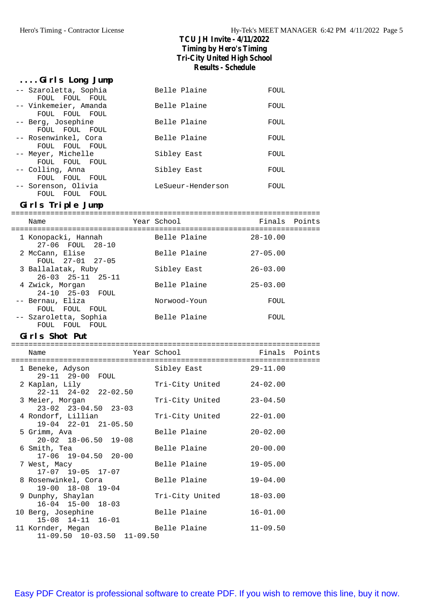#### **....Girls Long Jump**

| -- Szaroletta, Sophia                   | Belle Plaine      | FOUL |
|-----------------------------------------|-------------------|------|
| FOUL FOUL FOUL                          |                   |      |
| -- Vinkemeier, Amanda<br>FOUL FOUL FOUL | Belle Plaine      | FOUL |
| -- Berg, Josephine                      | Belle Plaine      | FOUL |
| FOUL FOUL FOUL                          |                   |      |
| -- Rosenwinkel, Cora                    | Belle Plaine      | FOUL |
| FOUL FOUL FOUL                          |                   |      |
| -- Meyer, Michelle                      | Sibley East       | FOUL |
| FOUL FOUL FOUL                          |                   |      |
| -- Colling, Anna                        | Sibley East       | FOUL |
| FOUL FOUL<br>FOUL                       |                   |      |
| -- Sorenson, Olivia                     | LeSueur-Henderson | FOUL |
| FOUL FOUL<br>FOUL                       |                   |      |

#### **Girls Triple Jump**

| Name                                                | Year School  | Finals Points |
|-----------------------------------------------------|--------------|---------------|
| 1 Konopacki, Hannah<br>27-06 FOUL 28-10             | Belle Plaine | $28 - 10.00$  |
| 2 McCann, Elise<br>FOUL 27-01 27-05                 | Belle Plaine | $27 - 05.00$  |
| 3 Ballalatak, Ruby<br>$26 - 03$ $25 - 11$ $25 - 11$ | Sibley East  | $26 - 03.00$  |
| 4 Zwick, Morgan<br>24-10 25-03 FOUL                 | Belle Plaine | $25 - 03.00$  |
| -- Bernau, Eliza<br>FOUL FOUL<br>FOUL               | Norwood-Youn | FOUL          |
| -- Szaroletta, Sophia                               | Belle Plaine | FOUL          |

### **Girls Shot Put**

FOUL FOUL FOUL

|  | Name<br>----------------------------                   | Year School District the Second Second School | Finals Points |  |
|--|--------------------------------------------------------|-----------------------------------------------|---------------|--|
|  | 1 Beneke, Adyson                                       | Sibley East                                   | 29-11.00      |  |
|  | 29-11 29-00 FOUL<br>2 Kaplan, Lily                     | Tri-City United                               | $24 - 02.00$  |  |
|  | 22-11 24-02 22-02.50<br>3 Meier, Morgan                | Tri-City United                               | $23 - 04.50$  |  |
|  | $23 - 02$ $23 - 04.50$ $23 - 03$<br>4 Rondorf, Lillian | Tri-City United                               | $22 - 01.00$  |  |
|  | $19-04$ $22-01$ $21-05.50$<br>5 Grimm, Ava             | Belle Plaine                                  | $20 - 02.00$  |  |
|  | $20 - 02$ 18-06.50 19-08<br>6 Smith, Tea               | Belle Plaine                                  | $20 - 00.00$  |  |
|  | $17-06$ $19-04.50$ $20-00$<br>7 West, Macy             | Belle Plaine                                  | $19 - 05.00$  |  |
|  | 17-07 19-05 17-07<br>8 Rosenwinkel, Cora               | Belle Plaine                                  | $19 - 04.00$  |  |
|  | 19-00 18-08 19-04                                      |                                               |               |  |
|  | 9 Dunphy, Shaylan<br>$16-04$ $15-00$ $18-03$           | Tri-City United                               | $18 - 03.00$  |  |
|  | 10 Berg, Josephine<br>$15-08$ $14-11$ $16-01$          | Belle Plaine                                  | $16 - 01.00$  |  |
|  | 11 Kornder, Megan<br>$11-09.50$ $10-03.50$ $11-09.50$  | Belle Plaine                                  | $11 - 09.50$  |  |
|  |                                                        |                                               |               |  |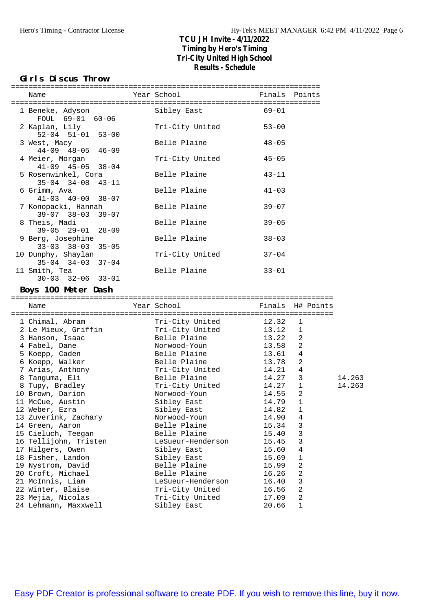#### **Girls Discus Throw**

| Name                                                                                                                                                                                                                                                                                                                      | Year School                    | Finals Points            |
|---------------------------------------------------------------------------------------------------------------------------------------------------------------------------------------------------------------------------------------------------------------------------------------------------------------------------|--------------------------------|--------------------------|
| 1 Beneke, Adyson                                                                                                                                                                                                                                                                                                          | Sibley East                    | $69 - 01$                |
| FOUL 69-01 60-06                                                                                                                                                                                                                                                                                                          |                                |                          |
| 2 Kaplan, Lily                                                                                                                                                                                                                                                                                                            | Tri-City United                | $53 - 00$                |
| $52 - 04$ $51 - 01$ $53 - 00$                                                                                                                                                                                                                                                                                             |                                |                          |
| 3 West, Macy                                                                                                                                                                                                                                                                                                              | Belle Plaine                   | $48 - 05$                |
| $44 - 09$ $48 - 05$<br>$46 - 09$                                                                                                                                                                                                                                                                                          |                                |                          |
|                                                                                                                                                                                                                                                                                                                           | Tri-City United                | $45 - 05$                |
| 4 Meier, Morgan<br>$41 - 09$ $45 - 05$<br>$38 - 04$                                                                                                                                                                                                                                                                       |                                |                          |
| 5 Rosenwinkel, Cora                                                                                                                                                                                                                                                                                                       | Belle Plaine                   | $43 - 11$                |
| $35 - 04$ $34 - 08$<br>$43 - 11$                                                                                                                                                                                                                                                                                          |                                |                          |
| 6 Grimm, Ava                                                                                                                                                                                                                                                                                                              | Belle Plaine                   | $41 - 03$                |
| $41 - 03$ $40 - 00$<br>$38 - 07$                                                                                                                                                                                                                                                                                          |                                |                          |
|                                                                                                                                                                                                                                                                                                                           |                                |                          |
| 7 Konopacki, Hannah<br>$39 - 07$ $38 - 03$                                                                                                                                                                                                                                                                                | Belle Plaine                   | $39 - 07$                |
| $39 - 07$                                                                                                                                                                                                                                                                                                                 | Belle Plaine                   |                          |
| 8 Theis, Madi                                                                                                                                                                                                                                                                                                             |                                | $39 - 05$                |
| $39-05$ $29-01$ $28-09$                                                                                                                                                                                                                                                                                                   |                                |                          |
| 9 Berg, Josephine<br>$33 - 03$ $38 - 03$<br>$35 - 05$                                                                                                                                                                                                                                                                     | Belle Plaine                   | $38 - 03$                |
|                                                                                                                                                                                                                                                                                                                           |                                |                          |
| 10 Dunphy, Shaylan                                                                                                                                                                                                                                                                                                        | Tri-City United                | $37 - 04$                |
| $35-04$ $34-03$ $37-04$                                                                                                                                                                                                                                                                                                   |                                |                          |
| 11 Smith, Tea                                                                                                                                                                                                                                                                                                             | Belle Plaine                   | $33 - 01$                |
| $30 - 03$ $32 - 06$ $33 - 01$                                                                                                                                                                                                                                                                                             |                                |                          |
| Boys 100 Meter Dash                                                                                                                                                                                                                                                                                                       |                                |                          |
| Name                                                                                                                                                                                                                                                                                                                      | Year School                    | Finals H# Points         |
|                                                                                                                                                                                                                                                                                                                           |                                |                          |
|                                                                                                                                                                                                                                                                                                                           |                                |                          |
|                                                                                                                                                                                                                                                                                                                           |                                | 1                        |
| 1 Chimal, Abram                                                                                                                                                                                                                                                                                                           | Tri-City United                | 12.32                    |
| 2 Le Mieux, Griffin                                                                                                                                                                                                                                                                                                       | Tri-City United                | 13.12<br>1               |
| 3 Hanson, Isaac                                                                                                                                                                                                                                                                                                           | Belle Plaine                   | 13.22<br>2               |
| 4 Fabel, Dane                                                                                                                                                                                                                                                                                                             | Norwood-Youn                   | 13.58<br>2               |
| 5 Koepp, Caden                                                                                                                                                                                                                                                                                                            | Belle Plaine                   | 13.61<br>4               |
| 6 Koepp, Walker                                                                                                                                                                                                                                                                                                           | Belle Plaine                   | $\overline{2}$<br>13.78  |
| 7 Arias, Anthony                                                                                                                                                                                                                                                                                                          | Tri-City United                | $\overline{4}$<br>14.21  |
| 8 Tanguma, Eli                                                                                                                                                                                                                                                                                                            | Belle Plaine                   | 14.27<br>3               |
| 8 Tupy, Bradley                                                                                                                                                                                                                                                                                                           | Tri-City United                | 14.27<br>1               |
|                                                                                                                                                                                                                                                                                                                           | Norwood-Youn                   | 14.55<br>2               |
|                                                                                                                                                                                                                                                                                                                           | Sibley East                    | 14.79<br>1               |
|                                                                                                                                                                                                                                                                                                                           | Sibley East                    | 14.82 1                  |
|                                                                                                                                                                                                                                                                                                                           | Norwood-Youn                   | 14.90<br>4               |
|                                                                                                                                                                                                                                                                                                                           | Belle Plaine                   | 15.34<br>3               |
|                                                                                                                                                                                                                                                                                                                           | Belle Plaine                   | 3<br>15.40               |
|                                                                                                                                                                                                                                                                                                                           | LeSueur-Henderson              | 3<br>15.45               |
|                                                                                                                                                                                                                                                                                                                           | Sibley East                    | 15.60<br>4               |
|                                                                                                                                                                                                                                                                                                                           | Sibley East                    | 1<br>15.69               |
|                                                                                                                                                                                                                                                                                                                           | Belle Plaine                   | 2<br>15.99               |
|                                                                                                                                                                                                                                                                                                                           | Belle Plaine                   | 2<br>16.26               |
|                                                                                                                                                                                                                                                                                                                           | LeSueur-Henderson              | 3<br>16.40               |
|                                                                                                                                                                                                                                                                                                                           | Tri-City United                | 2<br>16.56               |
| 10 Brown, Darion<br>11 McCue, Austin<br>12 Weber, Ezra<br>13 Zuverink, Zachary<br>14 Green, Aaron<br>15 Cieluch, Teegan<br>16 Tellijohn, Tristen<br>17 Hilgers, Owen<br>18 Fisher, Landon<br>19 Nystrom, David<br>20 Croft, Michael<br>21 McInnis, Liam<br>22 Winter, Blaise<br>23 Mejia, Nicolas<br>24 Lehmann, Maxxwell | Tri-City United<br>Sibley East | 2<br>17.09<br>20.66<br>1 |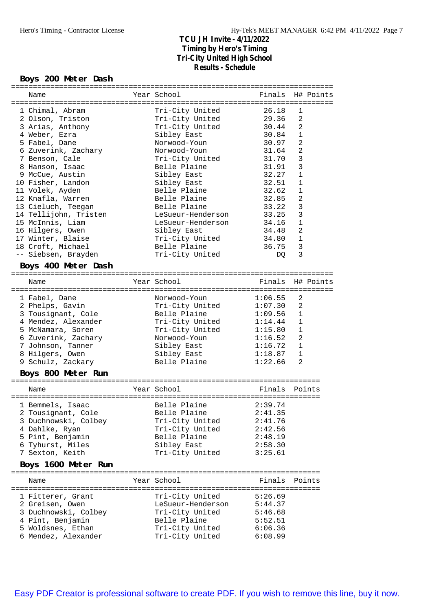#### **Boys 200 Meter Dash**

| Name                                                                                                                                                                                                                                                                                                                         | Year School                                                                                                                                                                                                                                                                    | Finals                                                                                                                                       |                                                                                                                                                | H# Points |
|------------------------------------------------------------------------------------------------------------------------------------------------------------------------------------------------------------------------------------------------------------------------------------------------------------------------------|--------------------------------------------------------------------------------------------------------------------------------------------------------------------------------------------------------------------------------------------------------------------------------|----------------------------------------------------------------------------------------------------------------------------------------------|------------------------------------------------------------------------------------------------------------------------------------------------|-----------|
| 1 Chimal, Abram<br>2 Olson, Triston<br>3 Arias, Anthony<br>4 Weber, Ezra<br>5 Fabel, Dane<br>6 Zuverink, Zachary<br>7 Benson, Cale<br>8 Hanson, Isaac<br>9 McCue, Austin<br>10 Fisher, Landon<br>11 Volek, Ayden<br>12 Knafla, Warren<br>13 Cieluch, Teegan<br>14 Tellijohn, Tristen<br>15 McInnis, Liam<br>16 Hilgers, Owen | Tri-City United<br>Tri-City United<br>Tri-City United<br>Sibley East<br>Norwood-Youn<br>Norwood-Youn<br>Tri-City United<br>Belle Plaine<br>Sibley East<br>Sibley East<br>Belle Plaine<br>Belle Plaine<br>Belle Plaine<br>LeSueur-Henderson<br>LeSueur-Henderson<br>Sibley East | 26.18<br>29.36<br>30.44<br>30.84<br>30.97<br>31.64<br>31.70<br>31.91<br>32.27<br>32.51<br>32.62<br>32.85<br>33.22<br>33.25<br>34.16<br>34.48 | 1<br>$\overline{2}$<br>2<br>1<br>2<br>$\overline{2}$<br>3<br>3<br>$\mathbf 1$<br>1<br>1<br>$\overline{2}$<br>3<br>3<br>$1\,$<br>$\overline{2}$ |           |
| 17 Winter, Blaise                                                                                                                                                                                                                                                                                                            | Tri-City United<br>Belle Plaine                                                                                                                                                                                                                                                | 34.80<br>36.75                                                                                                                               | 1<br>3                                                                                                                                         |           |
| 18 Croft, Michael<br>-- Siebsen, Brayden                                                                                                                                                                                                                                                                                     | Tri-City United                                                                                                                                                                                                                                                                | DQ                                                                                                                                           | 3                                                                                                                                              |           |
| Boys 400 Meter Dash                                                                                                                                                                                                                                                                                                          |                                                                                                                                                                                                                                                                                |                                                                                                                                              |                                                                                                                                                |           |
| Name                                                                                                                                                                                                                                                                                                                         | Year School                                                                                                                                                                                                                                                                    | Finals H# Points                                                                                                                             |                                                                                                                                                |           |
|                                                                                                                                                                                                                                                                                                                              |                                                                                                                                                                                                                                                                                |                                                                                                                                              |                                                                                                                                                |           |
| 1 Fabel, Dane<br>2 Phelps, Gavin<br>3 Tousignant, Cole<br>4 Mendez, Alexander<br>5 McNamara, Soren<br>6 Zuverink, Zachary<br>7 Johnson, Tanner<br>8 Hilgers, Owen<br>9 Schulz, Zackary                                                                                                                                       | Norwood-Youn<br>Tri-City United<br>Belle Plaine<br>Tri-City United<br>Tri-City United<br>Norwood-Youn<br>Sibley East<br>Sibley East<br>Belle Plaine                                                                                                                            | 1:06.55<br>1:07.30<br>1:09.56<br>1:14.44<br>1:15.80<br>1:16.52<br>1:16.72<br>1:18.87<br>1:22.66                                              | 2<br>2<br>$\mathbf{1}$<br>1<br>1<br>$\overline{2}$<br>$\mathbf{1}$<br>1<br>2                                                                   |           |
| Boys 800 Meter Run                                                                                                                                                                                                                                                                                                           |                                                                                                                                                                                                                                                                                |                                                                                                                                              |                                                                                                                                                |           |
| Name                                                                                                                                                                                                                                                                                                                         | Year School                                                                                                                                                                                                                                                                    | Finals                                                                                                                                       |                                                                                                                                                | Points    |
| 1 Bemmels, Isaac<br>2 Tousignant, Cole<br>3 Duchnowski, Colbey<br>4 Dahlke, Ryan<br>5 Pint, Benjamin<br>6 Tyhurst, Miles<br>7 Sexton, Keith                                                                                                                                                                                  | Belle Plaine<br>Belle Plaine<br>Tri-City United<br>Tri-City United<br>Belle Plaine<br>Sibley East<br>Tri-City United                                                                                                                                                           | 2:39.74<br>2:41.35<br>2:41.76<br>2:42.56<br>2:48.19<br>2:58.30<br>3:25.61                                                                    |                                                                                                                                                |           |
| Boys 1600 Meter Run                                                                                                                                                                                                                                                                                                          |                                                                                                                                                                                                                                                                                |                                                                                                                                              |                                                                                                                                                |           |
| Name                                                                                                                                                                                                                                                                                                                         | Year School                                                                                                                                                                                                                                                                    | Finals                                                                                                                                       |                                                                                                                                                | Points    |
| 1 Fitterer, Grant<br>2 Greisen, Owen<br>3 Duchnowski, Colbey<br>4 Pint, Benjamin<br>5 Woldsnes, Ethan<br>6 Mendez, Alexander                                                                                                                                                                                                 | Tri-City United<br>LeSueur-Henderson<br>Tri-City United<br>Belle Plaine<br>Tri-City United<br>Tri-City United                                                                                                                                                                  | 5:26.69<br>5:44.37<br>5:46.68<br>5:52.51<br>6:06.36<br>6:08.99                                                                               |                                                                                                                                                |           |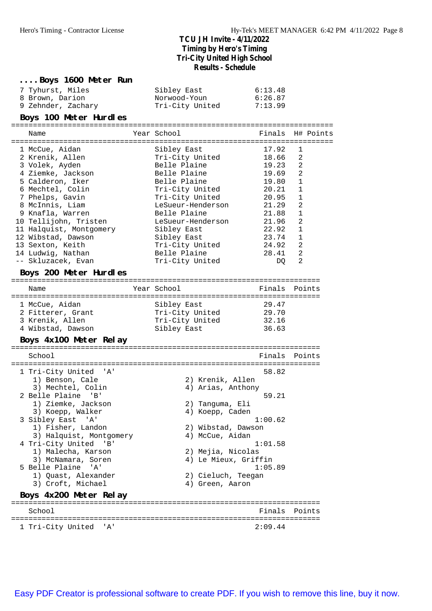| Boys 1600 Meter Run<br>7 Tyhurst, Miles<br>8 Brown, Darion<br>9 Zehnder, Zachary<br>Boys 100 Meter Hurdles                                                                                                                                                                                                                                                                                             | Sibley East<br>Norwood-Youn<br>Tri-City United                                                                                                                                                                                                                     | 6:13.48<br>6:26.87<br>7:13.99                                                                                                    |                                                                                                                                      |
|--------------------------------------------------------------------------------------------------------------------------------------------------------------------------------------------------------------------------------------------------------------------------------------------------------------------------------------------------------------------------------------------------------|--------------------------------------------------------------------------------------------------------------------------------------------------------------------------------------------------------------------------------------------------------------------|----------------------------------------------------------------------------------------------------------------------------------|--------------------------------------------------------------------------------------------------------------------------------------|
| Name                                                                                                                                                                                                                                                                                                                                                                                                   | Year School                                                                                                                                                                                                                                                        | Finals                                                                                                                           | H# Points                                                                                                                            |
| 1 McCue, Aidan<br>2 Krenik, Allen<br>3 Volek, Ayden<br>4 Ziemke, Jackson<br>5 Calderon, Iker<br>6 Mechtel, Colin<br>7 Phelps, Gavin<br>8 McInnis, Liam<br>9 Knafla, Warren<br>10 Tellijohn, Tristen<br>11 Halquist, Montgomery<br>12 Wibstad, Dawson<br>13 Sexton, Keith<br>14 Ludwig, Nathan<br>-- Skluzacek, Evan<br>Boys 200 Meter Hurdles                                                          | Sibley East<br>Tri-City United<br>Belle Plaine<br>Belle Plaine<br>Belle Plaine<br>Tri-City United<br>Tri-City United<br>LeSueur-Henderson<br>Belle Plaine<br>LeSueur-Henderson<br>Sibley East<br>Sibley East<br>Tri-City United<br>Belle Plaine<br>Tri-City United | 17.92<br>18.66<br>19.23<br>19.69<br>19.80<br>20.21<br>20.95<br>21.29<br>21.88<br>21.96<br>22.92<br>23.74<br>24.92<br>28.41<br>DQ | 1<br>2<br>$\overline{2}$<br>2<br>$\mathbf{1}$<br>1<br>1<br>$\overline{2}$<br>$\mathbf{1}$<br>2<br>1<br>1<br>2<br>$\overline{2}$<br>2 |
| Name<br>1 McCue, Aidan<br>2 Fitterer, Grant<br>3 Krenik, Allen<br>4 Wibstad, Dawson<br>Boys 4x100 Meter Relay                                                                                                                                                                                                                                                                                          | Year School<br>Sibley East<br>Tri-City United<br>Tri-City United<br>Sibley East                                                                                                                                                                                    | Finals Points<br>29.47<br>29.70<br>32.16<br>36.63                                                                                |                                                                                                                                      |
| School<br>1 Tri-City United 'A'<br>1) Benson, Cale<br>3) Mechtel, Colin<br>2 Belle Plaine 'B'<br>1) Ziemke, Jackson<br>3) Koepp, Walker<br>3 Sibley East 'A'<br>1) Fisher, Landon<br>3) Halquist, Montgomery<br>4 Tri-City United 'B'<br>1) Malecha, Karson<br>3) McNamara, Soren<br>5 Belle Plaine<br>$^{\prime}$ A $^{\prime}$<br>1) Quast, Alexander<br>3) Croft, Michael<br>Boys 4x200 Meter Relay | 2) Krenik, Allen<br>4) Arias, Anthony<br>2) Tanguma, Eli<br>4) Koepp, Caden<br>2) Wibstad, Dawson<br>4) McCue, Aidan<br>2) Mejia, Nicolas<br>4) Le Mieux, Griffin<br>2) Cieluch, Teegan<br>4) Green, Aaron                                                         | Finals<br>58.82<br>59.21<br>1:00.62<br>1:01.58<br>1:05.89                                                                        | Points                                                                                                                               |
| School                                                                                                                                                                                                                                                                                                                                                                                                 |                                                                                                                                                                                                                                                                    | Finals                                                                                                                           | Points                                                                                                                               |
| 1 Tri-City United 'A'                                                                                                                                                                                                                                                                                                                                                                                  |                                                                                                                                                                                                                                                                    | 2:09.44                                                                                                                          |                                                                                                                                      |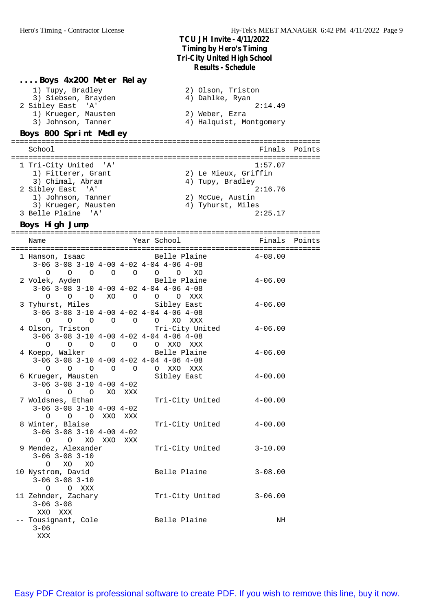#### **....Boys 4x200 Meter Relay**

| 1) Tupy, Bradley       | 2) Olson, Triston       |
|------------------------|-------------------------|
| 3) Siebsen, Brayden    | 4) Dahlke, Ryan         |
| 2 Sibley East 'A'      | 2:14.49                 |
| 1) Krueger, Mausten    | 2) Weber, Ezra          |
| 3) Johnson, Tanner     | 4) Halquist, Montgomery |
| Boys 800 Sprint Medley |                         |

#### **Boys 800 Sprint Medley**

======================================================================= School **Finals Points** ======================================================================= 1 Tri-City United 'A' 1:57.07 1) Fitterer, Grant 2) Le Mieux, Griffin 3) Chimal, Abram (4) Tupy, Bradley 2 Sibley East 'A' 2:16.76 1) Johnson, Tanner 2) McCue, Austin 3) Krueger, Mausten (4) Tyhurst, Miles 3 Belle Plaine 'A' 2:25.17

#### **Boys High Jump**

======================================================================= Name Year School Finals Points ======================================================================= 1 Hanson, Isaac Belle Plaine 4-08.00 3-06 3-08 3-10 4-00 4-02 4-04 4-06 4-08 O O O O O O O XO 2 Volek, Ayden Belle Plaine 4-06.00 3-06 3-08 3-10 4-00 4-02 4-04 4-06 4-08 O O O XO O O O XXX 3 Tyhurst, Miles Sibley East 4-06.00 3-06 3-08 3-10 4-00 4-02 4-04 4-06 4-08 O O O O O O XO XXX 4 Olson, Triston Tri-City United 4-06.00 3-06 3-08 3-10 4-00 4-02 4-04 4-06 4-08 O O O O O O XXO XXX 4 Koepp, Walker Belle Plaine 4-06.00 3-06 3-08 3-10 4-00 4-02 4-04 4-06 4-08 O O O O O O XXO XXX 6 Krueger, Mausten Sibley East 4-00.00 3-06 3-08 3-10 4-00 4-02 O O O XO XXX<br>7 Woldsnes, Ethan Tri-City United 4-00.00 3-06 3-08 3-10 4-00 4-02 O O O XXO XXX<br>8 Winter, Blaise Tri-City United 4-00.00 3-06 3-08 3-10 4-00 4-02 O O XO XXO XXX<br>9 Mendez, Alexander Tri-City United 3-10.00 3-06 3-08 3-10 O XO XO 10 Nystrom, David Belle Plaine 3-08.00 3-06 3-08 3-10 O O XXX<br>11 Zehnder, Zachary Tri-City United 3-06.00 3-06 3-08 XXO XXX<br>-- Tousignant, Cole Belle Plaine NH  $3 - 06$ XXX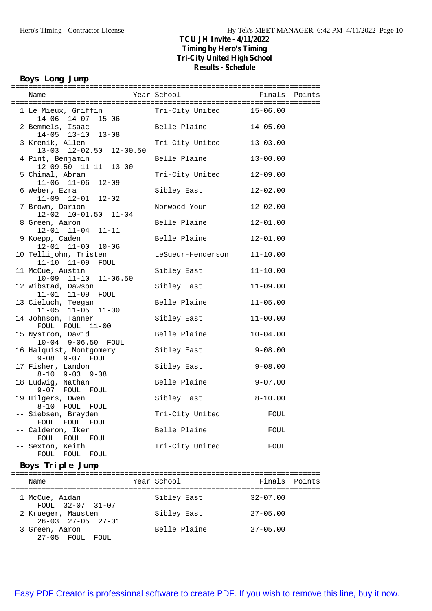#### **Boys Long Jump**

| Name                                                   | Year School       | Finals       | Points |
|--------------------------------------------------------|-------------------|--------------|--------|
| 1 Le Mieux, Griffin<br>14-06 14-07 15-06               | Tri-City United   | $15 - 06.00$ |        |
| 2 Bemmels, Isaac<br>14-05 13-10 13-08                  | Belle Plaine      | $14 - 05.00$ |        |
| 3 Krenik, Allen<br>13-03 12-02.50<br>$12 - 00.50$      | Tri-City United   | $13 - 03.00$ |        |
| 4 Pint, Benjamin<br>$12-09.50$ $11-11$ $13-00$         | Belle Plaine      | $13 - 00.00$ |        |
| 5 Chimal, Abram<br>11-06 11-06 12-09                   | Tri-City United   | $12 - 09.00$ |        |
| 6 Weber, Ezra<br>$11-09$ $12-01$ $12-02$               | Sibley East       | $12 - 02.00$ |        |
| 7 Brown, Darion<br>$12-02$ $10-01.50$ $11-04$          | Norwood-Youn      | $12 - 02.00$ |        |
| 8 Green, Aaron<br>$12 - 01$ $11 - 04$<br>$11 - 11$     | Belle Plaine      | $12 - 01.00$ |        |
| 9 Koepp, Caden<br>12-01 11-00 10-06                    | Belle Plaine      | $12 - 01.00$ |        |
| 10 Tellijohn, Tristen<br>11-10 11-09 FOUL              | LeSueur-Henderson | $11 - 10.00$ |        |
| 11 McCue, Austin<br>$10-09$ $11-10$ $11-06.50$         | Sibley East       | $11 - 10.00$ |        |
| 12 Wibstad, Dawson<br>11-01 11-09 FOUL                 | Sibley East       | $11 - 09.00$ |        |
| 13 Cieluch, Teegan<br>$11 - 05$ $11 - 05$<br>$11 - 00$ | Belle Plaine      | $11 - 05.00$ |        |
| 14 Johnson, Tanner<br>FOUL FOUL 11-00                  | Sibley East       | $11 - 00.00$ |        |
| 15 Nystrom, David<br>10-04 9-06.50 FOUL                | Belle Plaine      | $10 - 04.00$ |        |
| 16 Halquist, Montgomery<br>9-08 9-07 FOUL              | Sibley East       | $9 - 08.00$  |        |
| 17 Fisher, Landon<br>$8-10$ $9-03$ $9-08$              | Sibley East       | $9 - 08.00$  |        |
| 18 Ludwig, Nathan<br>9-07 FOUL<br>FOUL                 | Belle Plaine      | $9 - 07.00$  |        |
| 19 Hilgers, Owen<br>8-10 FOUL FOUL                     | Sibley East       | $8 - 10.00$  |        |
| -- Siebsen, Brayden<br>FOUL FOUL FOUL                  | Tri-City United   | FOUL         |        |
| -- Calderon, Iker<br>FOUL<br>FOUL<br>FOUL              | Belle Plaine      | FOUL         |        |
| -- Sexton, Keith<br>FOUL<br>FOUL<br>FOUL               | Tri-City United   | FOUL         |        |

#### **Boys Triple Jump**

| Name                                                | Year School  | Finals Points |
|-----------------------------------------------------|--------------|---------------|
| 1 McCue, Aidan<br>FOUL 32-07 31-07                  | Sibley East  | $32 - 07.00$  |
| 2 Krueger, Mausten<br>$26 - 03$ $27 - 05$ $27 - 01$ | Sibley East  | $27 - 05.00$  |
| 3 Green, Aaron<br>$27-05$ FOUL<br>FOUL.             | Belle Plaine | $27 - 05.00$  |